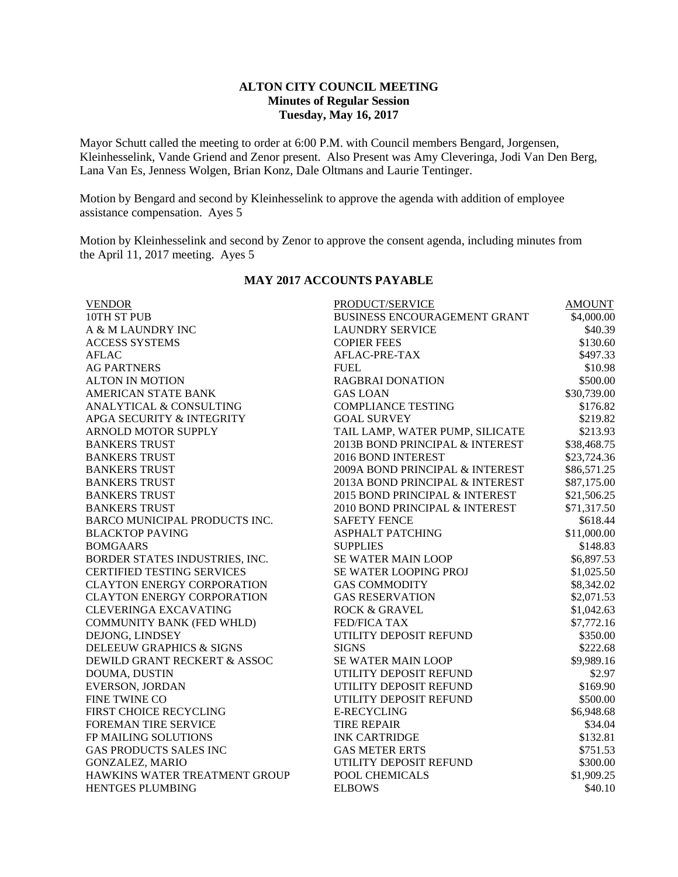## **ALTON CITY COUNCIL MEETING Minutes of Regular Session Tuesday, May 16, 2017**

Mayor Schutt called the meeting to order at 6:00 P.M. with Council members Bengard, Jorgensen, Kleinhesselink, Vande Griend and Zenor present. Also Present was Amy Cleveringa, Jodi Van Den Berg, Lana Van Es, Jenness Wolgen, Brian Konz, Dale Oltmans and Laurie Tentinger.

Motion by Bengard and second by Kleinhesselink to approve the agenda with addition of employee assistance compensation. Ayes 5

Motion by Kleinhesselink and second by Zenor to approve the consent agenda, including minutes from the April 11, 2017 meeting. Ayes 5

| <b>VENDOR</b>                     | PRODUCT/SERVICE                 | <b>AMOUNT</b> |
|-----------------------------------|---------------------------------|---------------|
| 10TH ST PUB                       | BUSINESS ENCOURAGEMENT GRANT    | \$4,000.00    |
| A & M LAUNDRY INC                 | <b>LAUNDRY SERVICE</b>          | \$40.39       |
| <b>ACCESS SYSTEMS</b>             | <b>COPIER FEES</b>              | \$130.60      |
| <b>AFLAC</b>                      | AFLAC-PRE-TAX                   | \$497.33      |
| <b>AG PARTNERS</b>                | <b>FUEL</b>                     | \$10.98       |
| <b>ALTON IN MOTION</b>            | <b>RAGBRAI DONATION</b>         | \$500.00      |
| AMERICAN STATE BANK               | <b>GAS LOAN</b>                 | \$30,739.00   |
| ANALYTICAL & CONSULTING           | <b>COMPLIANCE TESTING</b>       | \$176.82      |
| APGA SECURITY & INTEGRITY         | <b>GOAL SURVEY</b>              | \$219.82      |
| ARNOLD MOTOR SUPPLY               | TAIL LAMP, WATER PUMP, SILICATE | \$213.93      |
| <b>BANKERS TRUST</b>              | 2013B BOND PRINCIPAL & INTEREST | \$38,468.75   |
| <b>BANKERS TRUST</b>              | 2016 BOND INTEREST              | \$23,724.36   |
| <b>BANKERS TRUST</b>              | 2009A BOND PRINCIPAL & INTEREST | \$86,571.25   |
| <b>BANKERS TRUST</b>              | 2013A BOND PRINCIPAL & INTEREST | \$87,175.00   |
| <b>BANKERS TRUST</b>              | 2015 BOND PRINCIPAL & INTEREST  | \$21,506.25   |
| <b>BANKERS TRUST</b>              | 2010 BOND PRINCIPAL & INTEREST  | \$71,317.50   |
| BARCO MUNICIPAL PRODUCTS INC.     | <b>SAFETY FENCE</b>             | \$618.44      |
| <b>BLACKTOP PAVING</b>            | <b>ASPHALT PATCHING</b>         | \$11,000.00   |
| <b>BOMGAARS</b>                   | <b>SUPPLIES</b>                 | \$148.83      |
| BORDER STATES INDUSTRIES, INC.    | <b>SE WATER MAIN LOOP</b>       | \$6,897.53    |
| <b>CERTIFIED TESTING SERVICES</b> | <b>SE WATER LOOPING PROJ</b>    | \$1,025.50    |
| <b>CLAYTON ENERGY CORPORATION</b> | <b>GAS COMMODITY</b>            | \$8,342.02    |
| <b>CLAYTON ENERGY CORPORATION</b> | <b>GAS RESERVATION</b>          | \$2,071.53    |
| <b>CLEVERINGA EXCAVATING</b>      | <b>ROCK &amp; GRAVEL</b>        | \$1,042.63    |
| COMMUNITY BANK (FED WHLD)         | <b>FED/FICA TAX</b>             | \$7,772.16    |
| DEJONG, LINDSEY                   | UTILITY DEPOSIT REFUND          | \$350.00      |
| DELEEUW GRAPHICS & SIGNS          | <b>SIGNS</b>                    | \$222.68      |
| DEWILD GRANT RECKERT & ASSOC      | SE WATER MAIN LOOP              | \$9,989.16    |
| DOUMA, DUSTIN                     | UTILITY DEPOSIT REFUND          | \$2.97        |
| EVERSON, JORDAN                   | UTILITY DEPOSIT REFUND          | \$169.90      |
| FINE TWINE CO                     | UTILITY DEPOSIT REFUND          | \$500.00      |
| FIRST CHOICE RECYCLING            | <b>E-RECYCLING</b>              | \$6,948.68    |
| <b>FOREMAN TIRE SERVICE</b>       | <b>TIRE REPAIR</b>              | \$34.04       |
| FP MAILING SOLUTIONS              | <b>INK CARTRIDGE</b>            | \$132.81      |
| <b>GAS PRODUCTS SALES INC</b>     | <b>GAS METER ERTS</b>           | \$751.53      |
| <b>GONZALEZ, MARIO</b>            | UTILITY DEPOSIT REFUND          | \$300.00      |
| HAWKINS WATER TREATMENT GROUP     | POOL CHEMICALS                  | \$1,909.25    |
| <b>HENTGES PLUMBING</b>           | <b>ELBOWS</b>                   | \$40.10       |
|                                   |                                 |               |

### **MAY 2017 ACCOUNTS PAYABLE**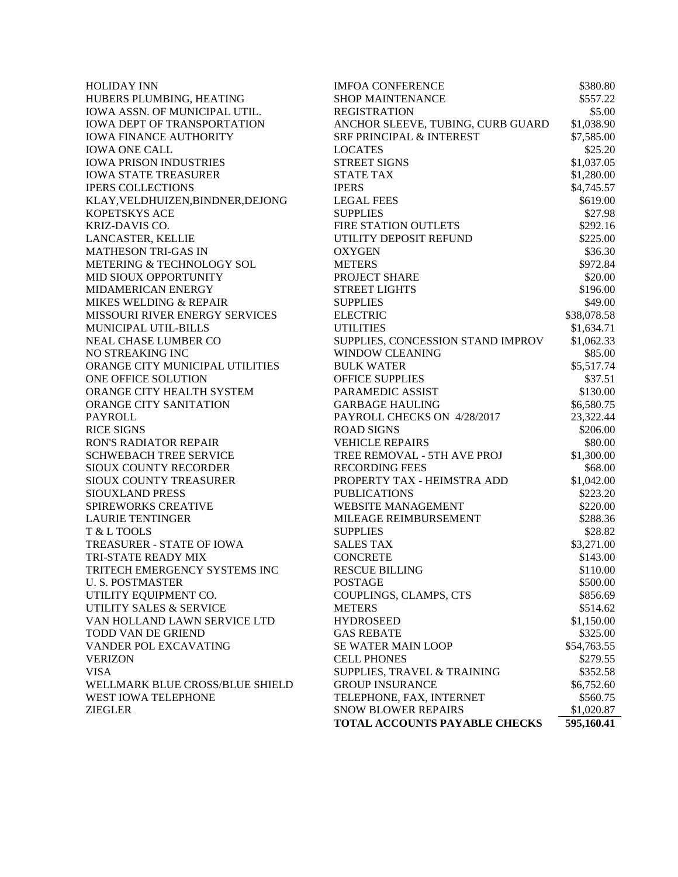| <b>HOLIDAY INN</b>                                     | <b>IMFOA CONFERENCE</b>                            | \$380.80                |
|--------------------------------------------------------|----------------------------------------------------|-------------------------|
| HUBERS PLUMBING, HEATING                               | <b>SHOP MAINTENANCE</b>                            | \$557.22                |
| IOWA ASSN. OF MUNICIPAL UTIL.                          | <b>REGISTRATION</b>                                | \$5.00                  |
| IOWA DEPT OF TRANSPORTATION                            | ANCHOR SLEEVE, TUBING, CURB GUARD                  | \$1,038.90              |
| <b>IOWA FINANCE AUTHORITY</b>                          | SRF PRINCIPAL & INTEREST                           | \$7,585.00              |
| <b>IOWA ONE CALL</b>                                   | <b>LOCATES</b>                                     | \$25.20                 |
| <b>IOWA PRISON INDUSTRIES</b>                          | <b>STREET SIGNS</b>                                | \$1,037.05              |
| <b>IOWA STATE TREASURER</b>                            | <b>STATE TAX</b>                                   | \$1,280.00              |
| <b>IPERS COLLECTIONS</b>                               | <b>IPERS</b>                                       | \$4,745.57              |
| KLAY, VELDHUIZEN, BINDNER, DEJONG                      | <b>LEGAL FEES</b>                                  | \$619.00                |
| KOPETSKYS ACE                                          | <b>SUPPLIES</b>                                    | \$27.98                 |
| KRIZ-DAVIS CO.                                         | FIRE STATION OUTLETS                               | \$292.16                |
| LANCASTER, KELLIE                                      | UTILITY DEPOSIT REFUND                             | \$225.00                |
| <b>MATHESON TRI-GAS IN</b>                             | <b>OXYGEN</b>                                      | \$36.30                 |
| METERING & TECHNOLOGY SOL                              | <b>METERS</b>                                      | \$972.84                |
| MID SIOUX OPPORTUNITY                                  | PROJECT SHARE                                      | \$20.00                 |
| MIDAMERICAN ENERGY                                     | <b>STREET LIGHTS</b>                               | \$196.00                |
| MIKES WELDING & REPAIR                                 | <b>SUPPLIES</b>                                    | \$49.00                 |
| MISSOURI RIVER ENERGY SERVICES                         | <b>ELECTRIC</b>                                    | \$38,078.58             |
| MUNICIPAL UTIL-BILLS                                   | <b>UTILITIES</b>                                   | \$1,634.71              |
| NEAL CHASE LUMBER CO                                   | SUPPLIES, CONCESSION STAND IMPROV                  | \$1,062.33              |
| NO STREAKING INC                                       | <b>WINDOW CLEANING</b>                             | \$85.00                 |
| ORANGE CITY MUNICIPAL UTILITIES                        | <b>BULK WATER</b>                                  | \$5,517.74              |
| ONE OFFICE SOLUTION                                    | <b>OFFICE SUPPLIES</b>                             | \$37.51                 |
| ORANGE CITY HEALTH SYSTEM                              | PARAMEDIC ASSIST                                   | \$130.00                |
| ORANGE CITY SANITATION                                 | <b>GARBAGE HAULING</b>                             | \$6,580.75              |
| <b>PAYROLL</b>                                         | PAYROLL CHECKS ON 4/28/2017                        | 23,322.44               |
| <b>RICE SIGNS</b>                                      | <b>ROAD SIGNS</b>                                  | \$206.00                |
| <b>RON'S RADIATOR REPAIR</b>                           | <b>VEHICLE REPAIRS</b>                             | \$80.00                 |
| <b>SCHWEBACH TREE SERVICE</b>                          | TREE REMOVAL - 5TH AVE PROJ                        | \$1,300.00              |
| SIOUX COUNTY RECORDER                                  | <b>RECORDING FEES</b>                              | \$68.00                 |
| SIOUX COUNTY TREASURER                                 | PROPERTY TAX - HEIMSTRA ADD                        | \$1,042.00              |
| SIOUXLAND PRESS                                        | <b>PUBLICATIONS</b>                                | \$223.20                |
| SPIREWORKS CREATIVE                                    | <b>WEBSITE MANAGEMENT</b>                          | \$220.00                |
| <b>LAURIE TENTINGER</b>                                | MILEAGE REIMBURSEMENT                              | \$288.36                |
| T & L TOOLS                                            | <b>SUPPLIES</b>                                    | \$28.82                 |
| TREASURER - STATE OF IOWA                              | <b>SALES TAX</b>                                   | \$3,271.00              |
| TRI-STATE READY MIX                                    | <b>CONCRETE</b>                                    | \$143.00                |
| TRITECH EMERGENCY SYSTEMS INC                          | <b>RESCUE BILLING</b>                              | \$110.00                |
| <b>U. S. POSTMASTER</b>                                | <b>POSTAGE</b>                                     | \$500.00                |
| UTILITY EQUIPMENT CO.                                  | COUPLINGS, CLAMPS, CTS                             | \$856.69                |
| UTILITY SALES & SERVICE                                | <b>METERS</b>                                      | \$514.62                |
| VAN HOLLAND LAWN SERVICE LTD                           | <b>HYDROSEED</b>                                   | \$1,150.00              |
| TODD VAN DE GRIEND                                     | <b>GAS REBATE</b>                                  | \$325.00                |
| VANDER POL EXCAVATING                                  | <b>SE WATER MAIN LOOP</b>                          |                         |
| <b>VERIZON</b>                                         | <b>CELL PHONES</b>                                 | \$54,763.55<br>\$279.55 |
| <b>VISA</b>                                            |                                                    |                         |
|                                                        | SUPPLIES, TRAVEL & TRAINING                        | \$352.58                |
| WELLMARK BLUE CROSS/BLUE SHIELD<br>WEST IOWA TELEPHONE | <b>GROUP INSURANCE</b><br>TELEPHONE, FAX, INTERNET | \$6,752.60<br>\$560.75  |
| <b>ZIEGLER</b>                                         | <b>SNOW BLOWER REPAIRS</b>                         | \$1,020.87              |
|                                                        | TOTAL ACCOUNTS PAYABLE CHECKS                      |                         |
|                                                        |                                                    | 595,160.41              |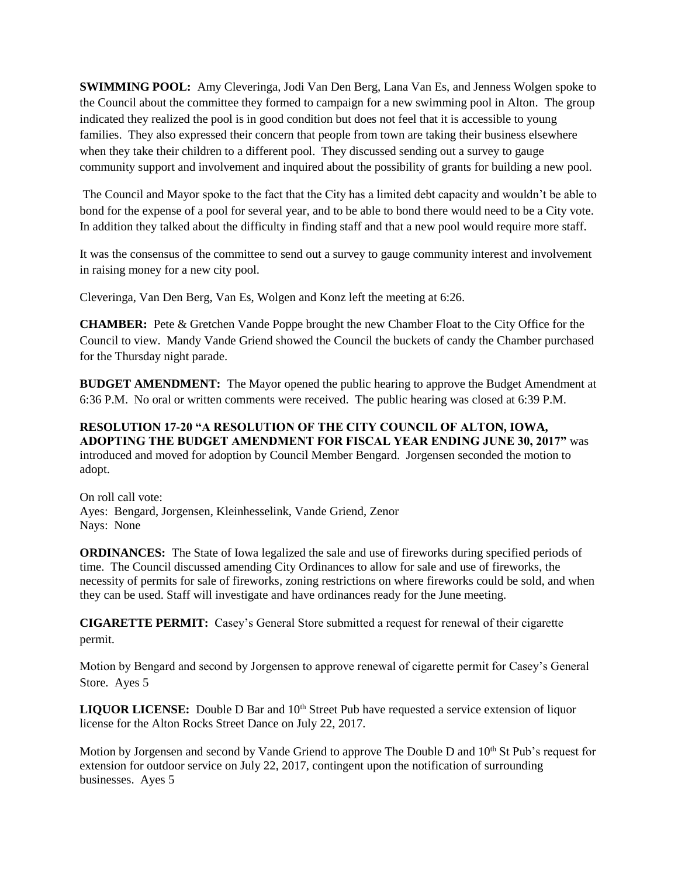**SWIMMING POOL:** Amy Cleveringa, Jodi Van Den Berg, Lana Van Es, and Jenness Wolgen spoke to the Council about the committee they formed to campaign for a new swimming pool in Alton. The group indicated they realized the pool is in good condition but does not feel that it is accessible to young families. They also expressed their concern that people from town are taking their business elsewhere when they take their children to a different pool. They discussed sending out a survey to gauge community support and involvement and inquired about the possibility of grants for building a new pool.

The Council and Mayor spoke to the fact that the City has a limited debt capacity and wouldn't be able to bond for the expense of a pool for several year, and to be able to bond there would need to be a City vote. In addition they talked about the difficulty in finding staff and that a new pool would require more staff.

It was the consensus of the committee to send out a survey to gauge community interest and involvement in raising money for a new city pool.

Cleveringa, Van Den Berg, Van Es, Wolgen and Konz left the meeting at 6:26.

**CHAMBER:** Pete & Gretchen Vande Poppe brought the new Chamber Float to the City Office for the Council to view. Mandy Vande Griend showed the Council the buckets of candy the Chamber purchased for the Thursday night parade.

**BUDGET AMENDMENT:** The Mayor opened the public hearing to approve the Budget Amendment at 6:36 P.M. No oral or written comments were received. The public hearing was closed at 6:39 P.M.

**RESOLUTION 17-20 "A RESOLUTION OF THE CITY COUNCIL OF ALTON, IOWA, ADOPTING THE BUDGET AMENDMENT FOR FISCAL YEAR ENDING JUNE 30, 2017"** was introduced and moved for adoption by Council Member Bengard. Jorgensen seconded the motion to adopt.

On roll call vote: Ayes: Bengard, Jorgensen, Kleinhesselink, Vande Griend, Zenor Nays: None

**ORDINANCES:** The State of Iowa legalized the sale and use of fireworks during specified periods of time. The Council discussed amending City Ordinances to allow for sale and use of fireworks, the necessity of permits for sale of fireworks, zoning restrictions on where fireworks could be sold, and when they can be used. Staff will investigate and have ordinances ready for the June meeting.

**CIGARETTE PERMIT:** Casey's General Store submitted a request for renewal of their cigarette permit.

Motion by Bengard and second by Jorgensen to approve renewal of cigarette permit for Casey's General Store. Ayes 5

**LIQUOR LICENSE:** Double D Bar and 10<sup>th</sup> Street Pub have requested a service extension of liquor license for the Alton Rocks Street Dance on July 22, 2017.

Motion by Jorgensen and second by Vande Griend to approve The Double D and  $10<sup>th</sup>$  St Pub's request for extension for outdoor service on July 22, 2017, contingent upon the notification of surrounding businesses. Ayes 5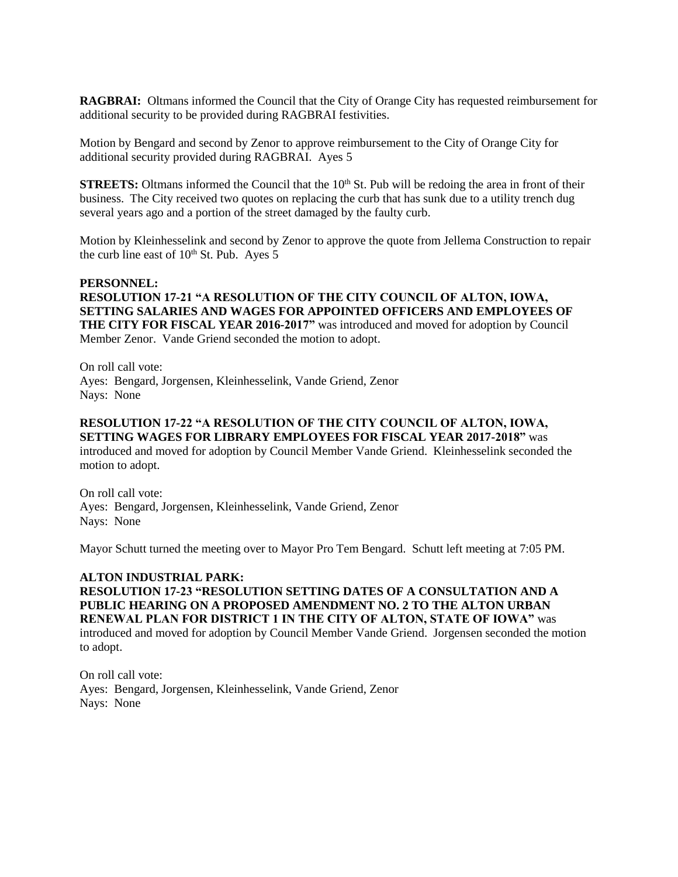**RAGBRAI:** Oltmans informed the Council that the City of Orange City has requested reimbursement for additional security to be provided during RAGBRAI festivities.

Motion by Bengard and second by Zenor to approve reimbursement to the City of Orange City for additional security provided during RAGBRAI. Ayes 5

**STREETS:** Oltmans informed the Council that the  $10<sup>th</sup>$  St. Pub will be redoing the area in front of their business. The City received two quotes on replacing the curb that has sunk due to a utility trench dug several years ago and a portion of the street damaged by the faulty curb.

Motion by Kleinhesselink and second by Zenor to approve the quote from Jellema Construction to repair the curb line east of  $10<sup>th</sup>$  St. Pub. Ayes 5

### **PERSONNEL:**

**RESOLUTION 17-21 "A RESOLUTION OF THE CITY COUNCIL OF ALTON, IOWA, SETTING SALARIES AND WAGES FOR APPOINTED OFFICERS AND EMPLOYEES OF THE CITY FOR FISCAL YEAR 2016-2017"** was introduced and moved for adoption by Council Member Zenor. Vande Griend seconded the motion to adopt.

On roll call vote: Ayes: Bengard, Jorgensen, Kleinhesselink, Vande Griend, Zenor Nays: None

# **RESOLUTION 17-22 "A RESOLUTION OF THE CITY COUNCIL OF ALTON, IOWA, SETTING WAGES FOR LIBRARY EMPLOYEES FOR FISCAL YEAR 2017-2018"** was

introduced and moved for adoption by Council Member Vande Griend. Kleinhesselink seconded the motion to adopt.

On roll call vote: Ayes: Bengard, Jorgensen, Kleinhesselink, Vande Griend, Zenor Nays: None

Mayor Schutt turned the meeting over to Mayor Pro Tem Bengard. Schutt left meeting at 7:05 PM.

#### **ALTON INDUSTRIAL PARK:**

**RESOLUTION 17-23 "RESOLUTION SETTING DATES OF A CONSULTATION AND A PUBLIC HEARING ON A PROPOSED AMENDMENT NO. 2 TO THE ALTON URBAN RENEWAL PLAN FOR DISTRICT 1 IN THE CITY OF ALTON, STATE OF IOWA"** was introduced and moved for adoption by Council Member Vande Griend. Jorgensen seconded the motion to adopt.

On roll call vote: Ayes: Bengard, Jorgensen, Kleinhesselink, Vande Griend, Zenor Nays: None